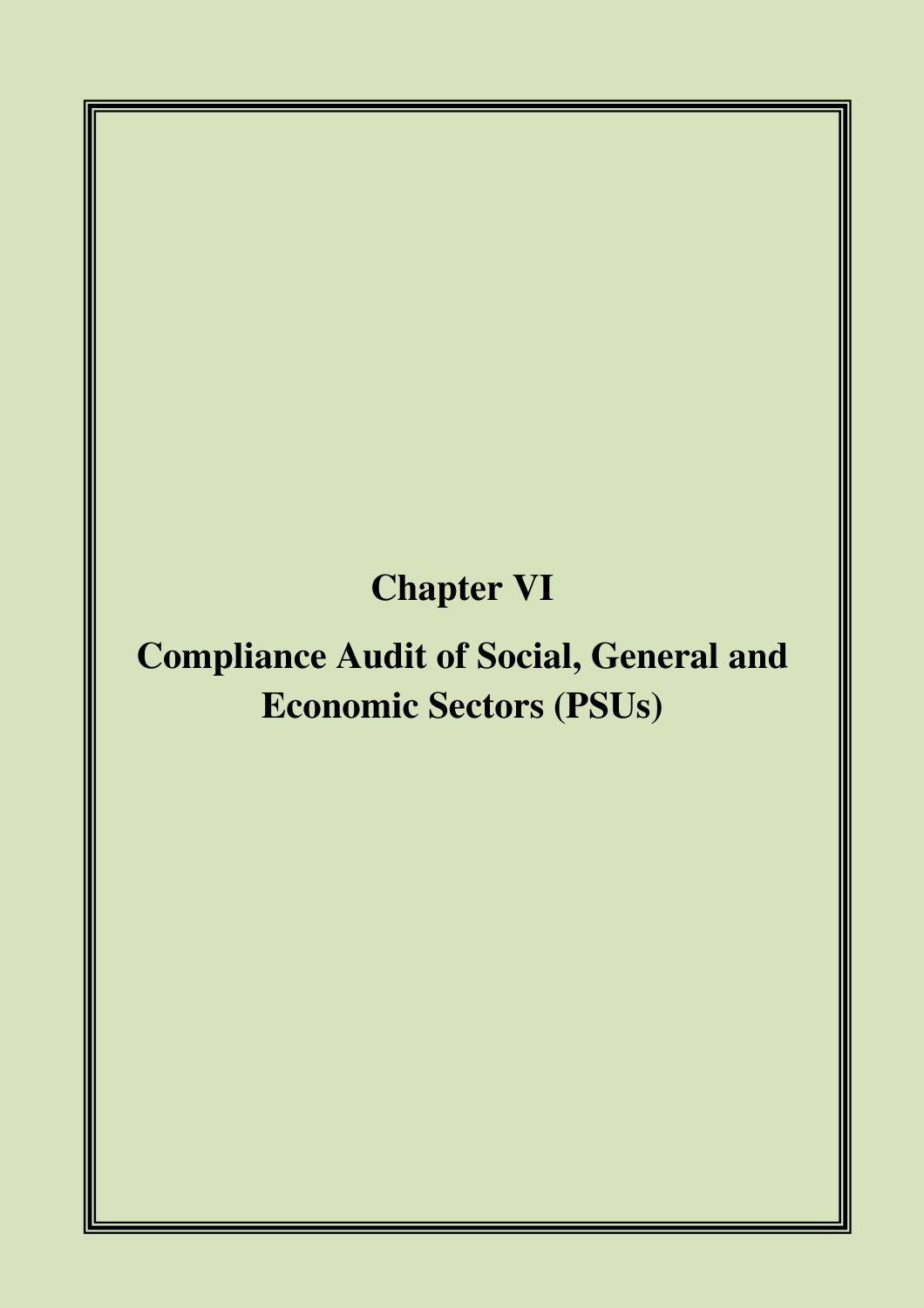# **Chapter VI**

# **Compliance Audit of Social, General and Economic Sectors (PSUs)**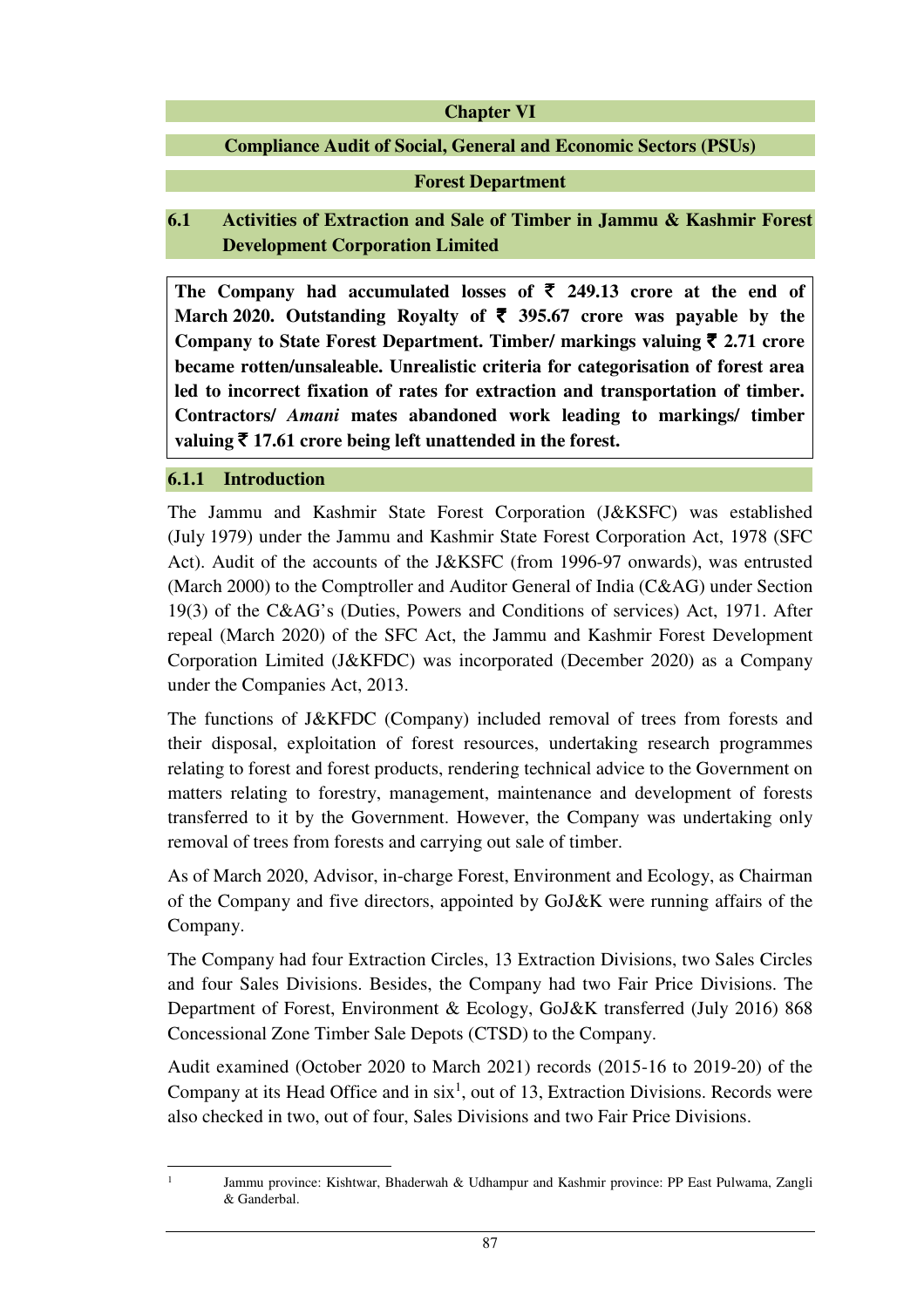#### **Chapter VI**

# **Compliance Audit of Social, General and Economic Sectors (PSUs)**

# **Forest Department**

# **6.1 Activities of Extraction and Sale of Timber in Jammu & Kashmir Forest Development Corporation Limited**

The Company had accumulated losses of  $\bar{\tau}$  249.13 crore at the end of March 2020. Outstanding Royalty of  $\bar{\tau}$  395.67 crore was payable by the **Company to State Forest Department. Timber/ markings valuing** ` **2.71 crore became rotten/unsaleable. Unrealistic criteria for categorisation of forest area led to incorrect fixation of rates for extraction and transportation of timber. Contractors/** *Amani* **mates abandoned work leading to markings/ timber valuing** ` **17.61 crore being left unattended in the forest.** 

### **6.1.1 Introduction**

The Jammu and Kashmir State Forest Corporation (J&KSFC) was established (July 1979) under the Jammu and Kashmir State Forest Corporation Act, 1978 (SFC Act). Audit of the accounts of the J&KSFC (from 1996-97 onwards), was entrusted (March 2000) to the Comptroller and Auditor General of India (C&AG) under Section 19(3) of the C&AG's (Duties, Powers and Conditions of services) Act, 1971. After repeal (March 2020) of the SFC Act, the Jammu and Kashmir Forest Development Corporation Limited (J&KFDC) was incorporated (December 2020) as a Company under the Companies Act, 2013.

The functions of J&KFDC (Company) included removal of trees from forests and their disposal, exploitation of forest resources, undertaking research programmes relating to forest and forest products, rendering technical advice to the Government on matters relating to forestry, management, maintenance and development of forests transferred to it by the Government. However, the Company was undertaking only removal of trees from forests and carrying out sale of timber.

As of March 2020, Advisor, in-charge Forest, Environment and Ecology, as Chairman of the Company and five directors, appointed by GoJ&K were running affairs of the Company.

The Company had four Extraction Circles, 13 Extraction Divisions, two Sales Circles and four Sales Divisions. Besides, the Company had two Fair Price Divisions. The Department of Forest, Environment & Ecology, GoJ&K transferred (July 2016) 868 Concessional Zone Timber Sale Depots (CTSD) to the Company.

Audit examined (October 2020 to March 2021) records (2015-16 to 2019-20) of the Company at its Head Office and in  $six<sup>1</sup>$ , out of 13, Extraction Divisions. Records were also checked in two, out of four, Sales Divisions and two Fair Price Divisions.

l 1

Jammu province: Kishtwar, Bhaderwah & Udhampur and Kashmir province: PP East Pulwama, Zangli & Ganderbal.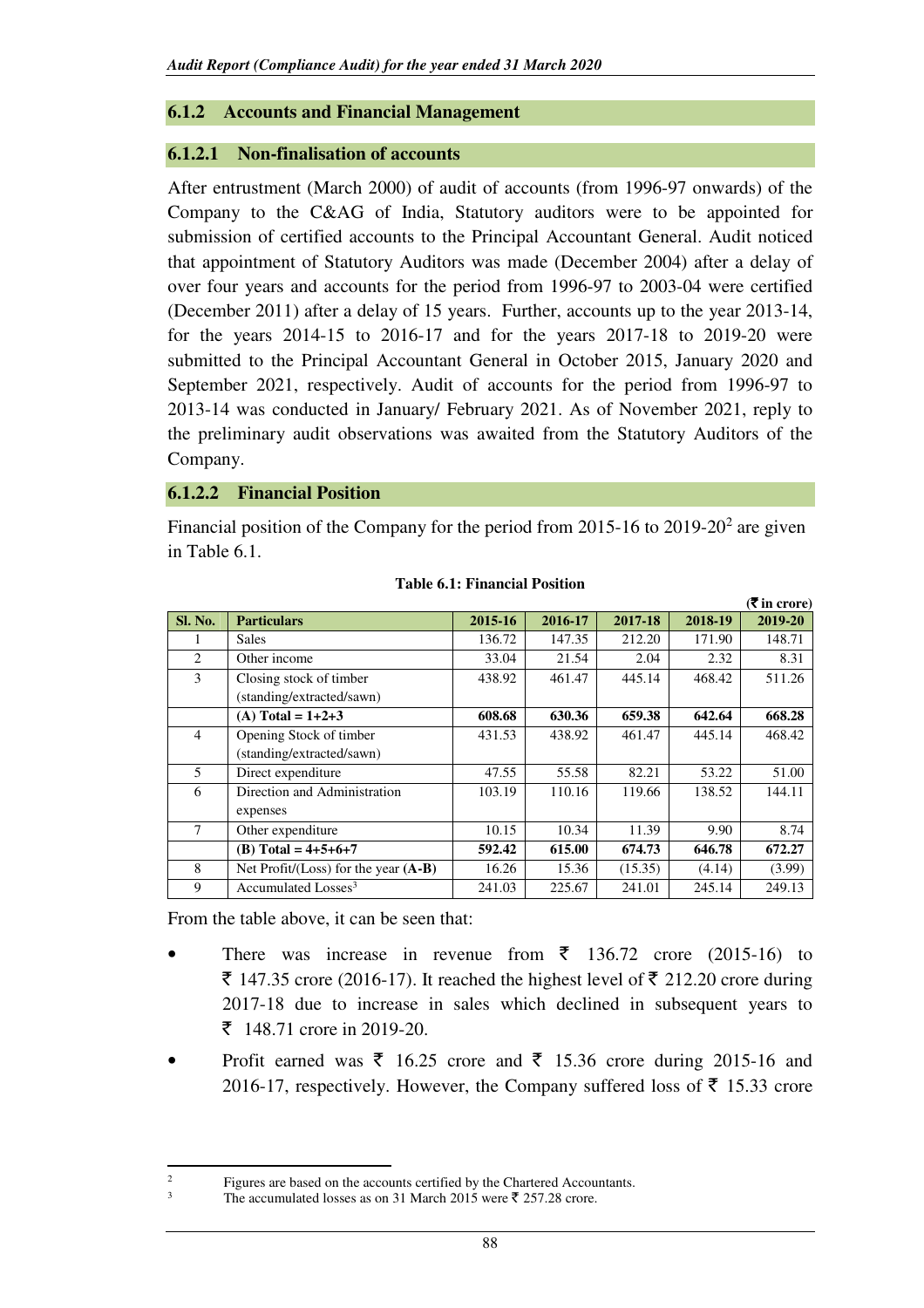# **6.1.2 Accounts and Financial Management**

## **6.1.2.1 Non-finalisation of accounts**

After entrustment (March 2000) of audit of accounts (from 1996-97 onwards) of the Company to the C&AG of India, Statutory auditors were to be appointed for submission of certified accounts to the Principal Accountant General. Audit noticed that appointment of Statutory Auditors was made (December 2004) after a delay of over four years and accounts for the period from 1996-97 to 2003-04 were certified (December 2011) after a delay of 15 years. Further, accounts up to the year 2013-14, for the years 2014-15 to 2016-17 and for the years 2017-18 to 2019-20 were submitted to the Principal Accountant General in October 2015, January 2020 and September 2021, respectively. Audit of accounts for the period from 1996-97 to 2013-14 was conducted in January/ February 2021. As of November 2021, reply to the preliminary audit observations was awaited from the Statutory Auditors of the Company.

### **6.1.2.2 Financial Position**

Financial position of the Company for the period from 2015-16 to 2019-20<sup>2</sup> are given in Table 6.1.

|         |                                        |         |         |         |         | (VIII CLOLE) |
|---------|----------------------------------------|---------|---------|---------|---------|--------------|
| Sl. No. | <b>Particulars</b>                     | 2015-16 | 2016-17 | 2017-18 | 2018-19 | 2019-20      |
|         | <b>Sales</b>                           | 136.72  | 147.35  | 212.20  | 171.90  | 148.71       |
| 2       | Other income                           | 33.04   | 21.54   | 2.04    | 2.32    | 8.31         |
| 3       | Closing stock of timber                | 438.92  | 461.47  | 445.14  | 468.42  | 511.26       |
|         | (standing/extracted/sawn)              |         |         |         |         |              |
|         | (A) Total = $1+2+3$                    | 608.68  | 630.36  | 659.38  | 642.64  | 668.28       |
| 4       | Opening Stock of timber                | 431.53  | 438.92  | 461.47  | 445.14  | 468.42       |
|         | (standing/extracted/sawn)              |         |         |         |         |              |
| 5       | Direct expenditure                     | 47.55   | 55.58   | 82.21   | 53.22   | 51.00        |
| 6       | Direction and Administration           | 103.19  | 110.16  | 119.66  | 138.52  | 144.11       |
|         | expenses                               |         |         |         |         |              |
| 7       | Other expenditure                      | 10.15   | 10.34   | 11.39   | 9.90    | 8.74         |
|         | (B) Total = $4+5+6+7$                  | 592.42  | 615.00  | 674.73  | 646.78  | 672.27       |
| 8       | Net Profit/(Loss) for the year $(A-B)$ | 16.26   | 15.36   | (15.35) | (4.14)  | (3.99)       |
| 9       | Accumulated Losses <sup>3</sup>        | 241.03  | 225.67  | 241.01  | 245.14  | 249.13       |

#### **Table 6.1: Financial Position**

 **(**` **in crore)** 

From the table above, it can be seen that:

ı 2

- There was increase in revenue from  $\bar{\tau}$  136.72 crore (2015-16) to  $\bar{\tau}$  147.35 crore (2016-17). It reached the highest level of  $\bar{\tau}$  212.20 crore during 2017-18 due to increase in sales which declined in subsequent years to  $\bar{z}$  148.71 crore in 2019-20.
- Profit earned was  $\bar{\xi}$  16.25 crore and  $\bar{\xi}$  15.36 crore during 2015-16 and 2016-17, respectively. However, the Company suffered loss of  $\bar{\tau}$  15.33 crore

Figures are based on the accounts certified by the Chartered Accountants.

<sup>3</sup> The accumulated losses as on 31 March 2015 were  $\bar{\mathfrak{c}}$  257.28 crore.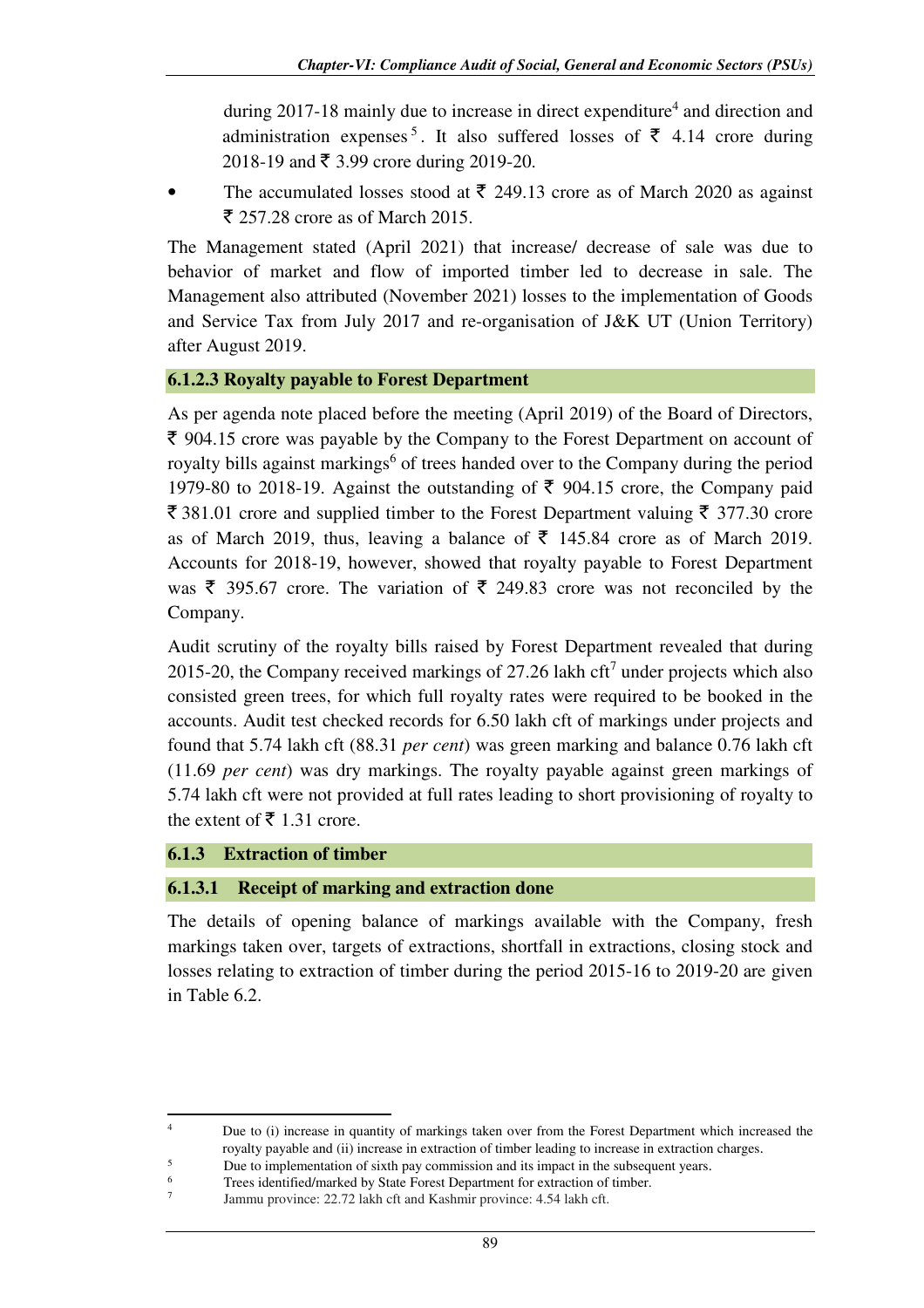during 2017-18 mainly due to increase in direct expenditure<sup>4</sup> and direction and administration expenses<sup>5</sup>. It also suffered losses of  $\bar{\tau}$  4.14 crore during 2018-19 and  $\bar{\xi}$  3.99 crore during 2019-20.

The accumulated losses stood at  $\bar{\tau}$  249.13 crore as of March 2020 as against  $\bar{\xi}$  257.28 crore as of March 2015.

The Management stated (April 2021) that increase/ decrease of sale was due to behavior of market and flow of imported timber led to decrease in sale. The Management also attributed (November 2021) losses to the implementation of Goods and Service Tax from July 2017 and re-organisation of J&K UT (Union Territory) after August 2019.

# **6.1.2.3 Royalty payable to Forest Department**

As per agenda note placed before the meeting (April 2019) of the Board of Directors,  $\bar{\xi}$  904.15 crore was payable by the Company to the Forest Department on account of royalty bills against markings<sup>6</sup> of trees handed over to the Company during the period 1979-80 to 2018-19. Against the outstanding of  $\bar{\tau}$  904.15 crore, the Company paid  $\bar{\xi}$  381.01 crore and supplied timber to the Forest Department valuing  $\bar{\xi}$  377.30 crore as of March 2019, thus, leaving a balance of  $\bar{\tau}$  145.84 crore as of March 2019. Accounts for 2018-19, however, showed that royalty payable to Forest Department was  $\bar{\xi}$  395.67 crore. The variation of  $\bar{\xi}$  249.83 crore was not reconciled by the Company.

Audit scrutiny of the royalty bills raised by Forest Department revealed that during 2015-20, the Company received markings of 27.26 lakh cft<sup>7</sup> under projects which also consisted green trees, for which full royalty rates were required to be booked in the accounts. Audit test checked records for 6.50 lakh cft of markings under projects and found that 5.74 lakh cft (88.31 *per cent*) was green marking and balance 0.76 lakh cft (11.69 *per cent*) was dry markings. The royalty payable against green markings of 5.74 lakh cft were not provided at full rates leading to short provisioning of royalty to the extent of  $\bar{\bar{\xi}}$  1.31 crore.

### **6.1.3 Extraction of timber**

l 4

### **6.1.3.1 Receipt of marking and extraction done**

The details of opening balance of markings available with the Company, fresh markings taken over, targets of extractions, shortfall in extractions, closing stock and losses relating to extraction of timber during the period 2015-16 to 2019-20 are given in Table 6.2.

 $5$  Due to implementation of sixth pay commission and its impact in the subsequent years.<br>
Trees identified/marked by State Forest Department for extraction of timber

Due to (i) increase in quantity of markings taken over from the Forest Department which increased the royalty payable and (ii) increase in extraction of timber leading to increase in extraction charges.

Trees identified/marked by State Forest Department for extraction of timber.

<sup>7</sup> Jammu province: 22.72 lakh cft and Kashmir province: 4.54 lakh cft.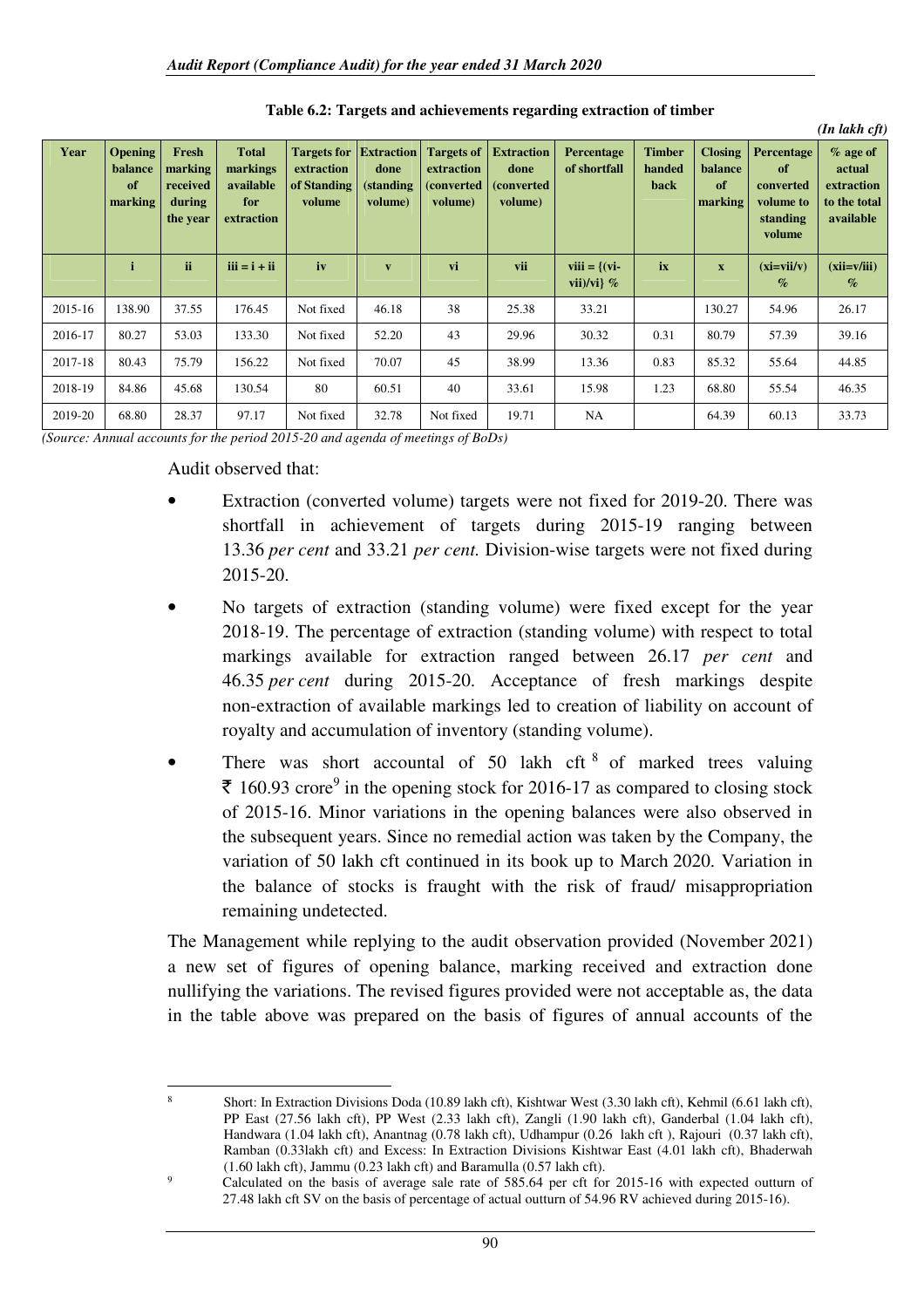| Year    | <b>Opening</b><br>balance<br>of<br>marking | Fresh<br>marking<br>received<br>during<br>the year | <b>Total</b><br>markings<br>available<br>for<br>extraction | <b>Targets for Extraction</b><br>extraction<br>of Standing<br>volume | done<br>(standing<br>volume) | <b>Targets of</b><br>extraction<br>(converted)<br>volume) | <b>Extraction</b><br>done<br><i>(converted)</i><br>volume) | <b>Percentage</b><br>of shortfall | <b>Timber</b><br>handed<br>back | <b>Closing</b><br>balance<br>of<br>marking | <b>Percentage</b><br>of<br>converted<br>volume to<br>standing<br>volume | $%$ age of<br>actual<br>extraction<br>to the total<br>available |
|---------|--------------------------------------------|----------------------------------------------------|------------------------------------------------------------|----------------------------------------------------------------------|------------------------------|-----------------------------------------------------------|------------------------------------------------------------|-----------------------------------|---------------------------------|--------------------------------------------|-------------------------------------------------------------------------|-----------------------------------------------------------------|
|         |                                            | ii.                                                | $iii = i + ii$                                             | iv                                                                   | $\overline{\mathbf{v}}$      | vi                                                        | vii                                                        | viii $= \{ (vi -$<br>vii)/vi} $%$ | ix                              | $\mathbf{x}$                               | $(xi=vii/v)$<br>$\%$                                                    | $(xii=v/iii)$<br>$\%$                                           |
| 2015-16 | 138.90                                     | 37.55                                              | 176.45                                                     | Not fixed                                                            | 46.18                        | 38                                                        | 25.38                                                      | 33.21                             |                                 | 130.27                                     | 54.96                                                                   | 26.17                                                           |
| 2016-17 | 80.27                                      | 53.03                                              | 133.30                                                     | Not fixed                                                            | 52.20                        | 43                                                        | 29.96                                                      | 30.32                             | 0.31                            | 80.79                                      | 57.39                                                                   | 39.16                                                           |
| 2017-18 | 80.43                                      | 75.79                                              | 156.22                                                     | Not fixed                                                            | 70.07                        | 45                                                        | 38.99                                                      | 13.36                             | 0.83                            | 85.32                                      | 55.64                                                                   | 44.85                                                           |
| 2018-19 | 84.86                                      | 45.68                                              | 130.54                                                     | 80                                                                   | 60.51                        | 40                                                        | 33.61                                                      | 15.98                             | 1.23                            | 68.80                                      | 55.54                                                                   | 46.35                                                           |
| 2019-20 | 68.80                                      | 28.37                                              | 97.17                                                      | Not fixed                                                            | 32.78                        | Not fixed                                                 | 19.71                                                      | NA                                |                                 | 64.39                                      | 60.13                                                                   | 33.73                                                           |

**Table 6.2: Targets and achievements regarding extraction of timber** 

*(In lakh cft)* 

*(Source: Annual accounts for the period 2015-20 and agenda of meetings of BoDs)* 

Audit observed that:

- Extraction (converted volume) targets were not fixed for 2019-20. There was shortfall in achievement of targets during 2015-19 ranging between 13.36 *per cent* and 33.21 *per cent.* Division-wise targets were not fixed during 2015-20.
- No targets of extraction (standing volume) were fixed except for the year 2018-19. The percentage of extraction (standing volume) with respect to total markings available for extraction ranged between 26.17 *per cent* and 46.35 *per cent* during 2015-20. Acceptance of fresh markings despite non-extraction of available markings led to creation of liability on account of royalty and accumulation of inventory (standing volume).
- There was short accountal of  $50$  lakh cft  $8$  of marked trees valuing  $\bar{\mathcal{F}}$  160.93 crore<sup>9</sup> in the opening stock for 2016-17 as compared to closing stock of 2015-16. Minor variations in the opening balances were also observed in the subsequent years. Since no remedial action was taken by the Company, the variation of 50 lakh cft continued in its book up to March 2020. Variation in the balance of stocks is fraught with the risk of fraud/ misappropriation remaining undetected.

The Management while replying to the audit observation provided (November 2021) a new set of figures of opening balance, marking received and extraction done nullifying the variations. The revised figures provided were not acceptable as, the data in the table above was prepared on the basis of figures of annual accounts of the

ı <sup>8</sup> Short: In Extraction Divisions Doda (10.89 lakh cft), Kishtwar West (3.30 lakh cft), Kehmil (6.61 lakh cft), PP East (27.56 lakh cft), PP West (2.33 lakh cft), Zangli (1.90 lakh cft), Ganderbal (1.04 lakh cft), Handwara (1.04 lakh cft), Anantnag (0.78 lakh cft), Udhampur (0.26 lakh cft ), Rajouri (0.37 lakh cft), Ramban (0.33lakh cft) and Excess: In Extraction Divisions Kishtwar East (4.01 lakh cft), Bhaderwah (1.60 lakh cft), Jammu (0.23 lakh cft) and Baramulla (0.57 lakh cft).

<sup>9</sup> Calculated on the basis of average sale rate of 585.64 per cft for 2015-16 with expected outturn of 27.48 lakh cft SV on the basis of percentage of actual outturn of 54.96 RV achieved during 2015-16).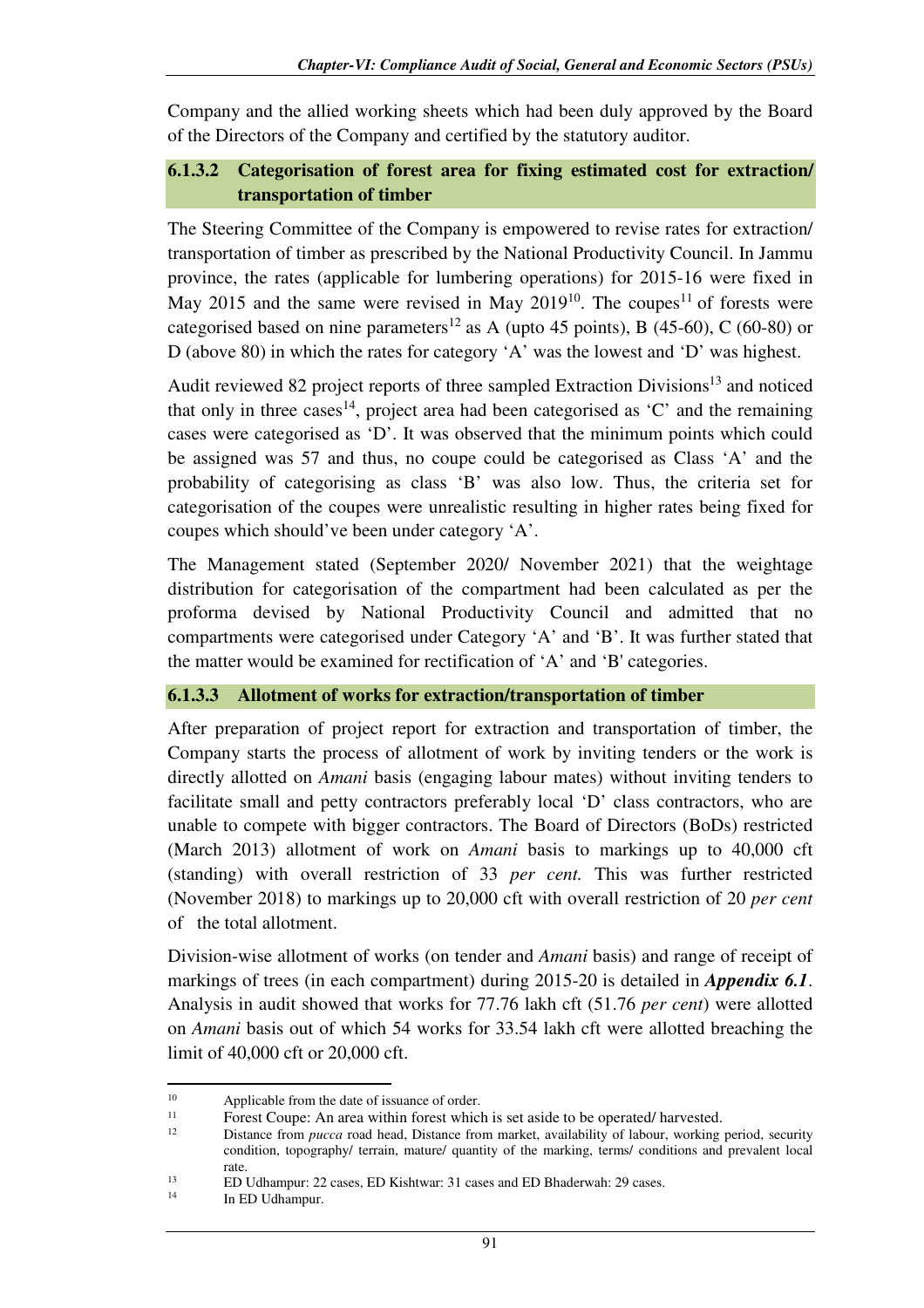Company and the allied working sheets which had been duly approved by the Board of the Directors of the Company and certified by the statutory auditor.

# **6.1.3.2 Categorisation of forest area for fixing estimated cost for extraction/ transportation of timber**

The Steering Committee of the Company is empowered to revise rates for extraction/ transportation of timber as prescribed by the National Productivity Council. In Jammu province, the rates (applicable for lumbering operations) for 2015-16 were fixed in May 2015 and the same were revised in May  $2019^{10}$ . The coupes<sup>11</sup> of forests were categorised based on nine parameters<sup>12</sup> as A (upto 45 points), B (45-60), C (60-80) or D (above 80) in which the rates for category 'A' was the lowest and 'D' was highest.

Audit reviewed 82 project reports of three sampled Extraction Divisions<sup>13</sup> and noticed that only in three cases<sup>14</sup>, project area had been categorised as  $C'$  and the remaining cases were categorised as 'D'. It was observed that the minimum points which could be assigned was 57 and thus, no coupe could be categorised as Class 'A' and the probability of categorising as class 'B' was also low. Thus, the criteria set for categorisation of the coupes were unrealistic resulting in higher rates being fixed for coupes which should've been under category 'A'.

The Management stated (September 2020/ November 2021) that the weightage distribution for categorisation of the compartment had been calculated as per the proforma devised by National Productivity Council and admitted that no compartments were categorised under Category 'A' and 'B'. It was further stated that the matter would be examined for rectification of 'A' and 'B' categories.

### **6.1.3.3 Allotment of works for extraction/transportation of timber**

After preparation of project report for extraction and transportation of timber, the Company starts the process of allotment of work by inviting tenders or the work is directly allotted on *Amani* basis (engaging labour mates) without inviting tenders to facilitate small and petty contractors preferably local 'D' class contractors, who are unable to compete with bigger contractors. The Board of Directors (BoDs) restricted (March 2013) allotment of work on *Amani* basis to markings up to 40,000 cft (standing) with overall restriction of 33 *per cent.* This was further restricted (November 2018) to markings up to 20,000 cft with overall restriction of 20 *per cent* of the total allotment.

Division-wise allotment of works (on tender and *Amani* basis) and range of receipt of markings of trees (in each compartment) during 2015-20 is detailed in *Appendix 6.1*. Analysis in audit showed that works for 77.76 lakh cft (51.76 *per cent*) were allotted on *Amani* basis out of which 54 works for 33.54 lakh cft were allotted breaching the limit of 40,000 cft or 20,000 cft.

 $\overline{\phantom{0}}$ 

<sup>&</sup>lt;sup>10</sup> Applicable from the date of issuance of order.<br> $\frac{11}{2}$  Expect Council Applicable in the prest which

<sup>&</sup>lt;sup>11</sup> Forest Coupe: An area within forest which is set aside to be operated/ harvested.<br><sup>12</sup> Distance from nuces good hard. Distance from market, qualibility of labour, working

<sup>12</sup> Distance from *pucca* road head, Distance from market, availability of labour, working period, security condition, topography/ terrain, mature/ quantity of the marking, terms/ conditions and prevalent local rate.

<sup>&</sup>lt;sup>13</sup> ED Udhampur: 22 cases, ED Kishtwar: 31 cases and ED Bhaderwah: 29 cases.<br><sup>14</sup> In ED Udhampur

In ED Udhampur.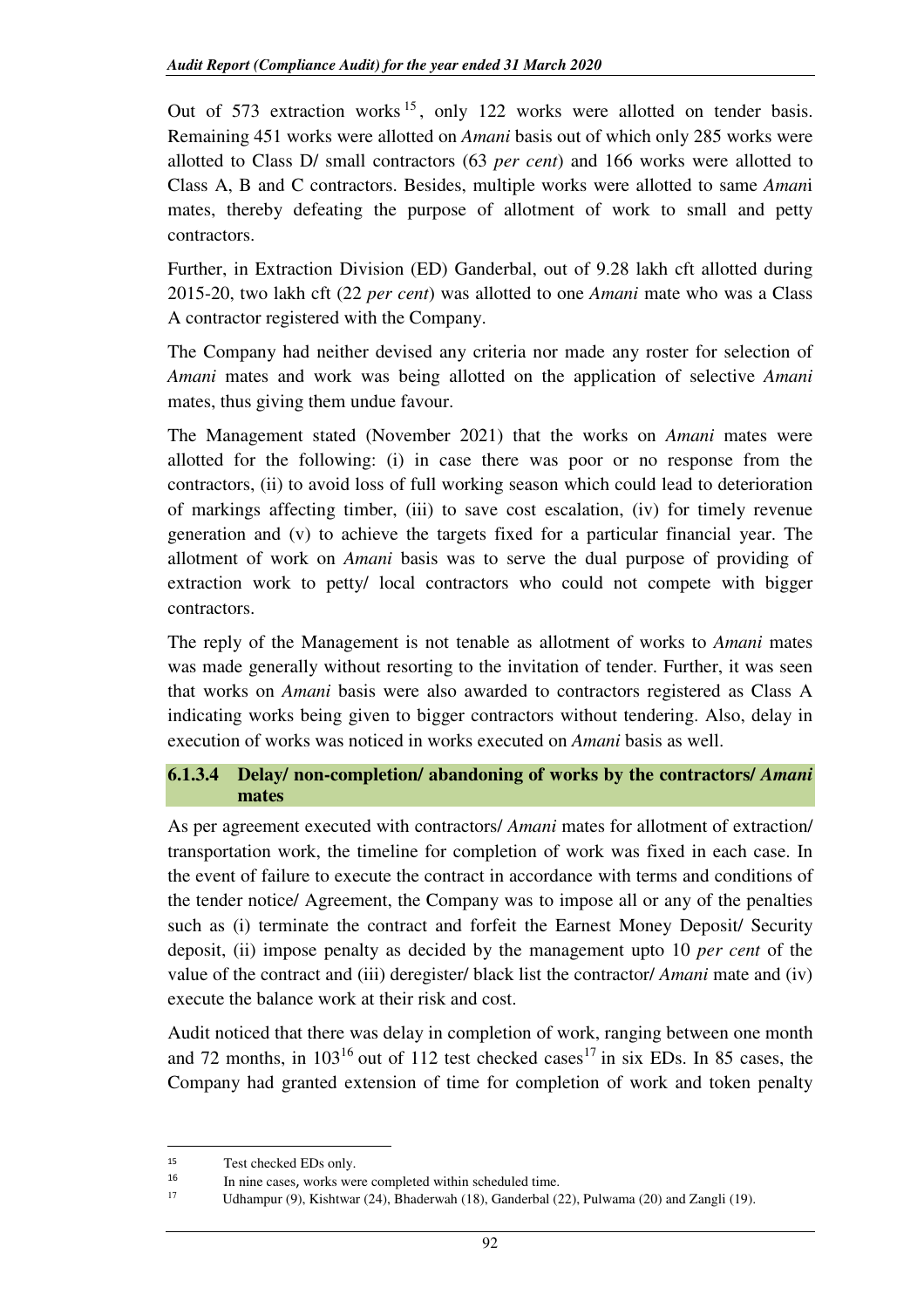Out of 573 extraction works<sup>15</sup>, only 122 works were allotted on tender basis. Remaining 451 works were allotted on *Amani* basis out of which only 285 works were allotted to Class D/ small contractors (63 *per cent*) and 166 works were allotted to Class A, B and C contractors. Besides, multiple works were allotted to same *Aman*i mates, thereby defeating the purpose of allotment of work to small and petty contractors.

Further, in Extraction Division (ED) Ganderbal, out of 9.28 lakh cft allotted during 2015-20, two lakh cft (22 *per cent*) was allotted to one *Amani* mate who was a Class A contractor registered with the Company.

The Company had neither devised any criteria nor made any roster for selection of *Amani* mates and work was being allotted on the application of selective *Amani*  mates, thus giving them undue favour.

The Management stated (November 2021) that the works on *Amani* mates were allotted for the following: (i) in case there was poor or no response from the contractors, (ii) to avoid loss of full working season which could lead to deterioration of markings affecting timber, (iii) to save cost escalation, (iv) for timely revenue generation and (v) to achieve the targets fixed for a particular financial year. The allotment of work on *Amani* basis was to serve the dual purpose of providing of extraction work to petty/ local contractors who could not compete with bigger contractors.

The reply of the Management is not tenable as allotment of works to *Amani* mates was made generally without resorting to the invitation of tender. Further, it was seen that works on *Amani* basis were also awarded to contractors registered as Class A indicating works being given to bigger contractors without tendering. Also, delay in execution of works was noticed in works executed on *Amani* basis as well.

# **6.1.3.4 Delay/ non-completion/ abandoning of works by the contractors/** *Amani*  **mates**

As per agreement executed with contractors/ *Amani* mates for allotment of extraction/ transportation work, the timeline for completion of work was fixed in each case. In the event of failure to execute the contract in accordance with terms and conditions of the tender notice/ Agreement, the Company was to impose all or any of the penalties such as (i) terminate the contract and forfeit the Earnest Money Deposit/ Security deposit, (ii) impose penalty as decided by the management upto 10 *per cent* of the value of the contract and (iii) deregister/ black list the contractor/ *Amani* mate and (iv) execute the balance work at their risk and cost.

Audit noticed that there was delay in completion of work, ranging between one month and 72 months, in  $103^{16}$  out of 112 test checked cases<sup>17</sup> in six EDs. In 85 cases, the Company had granted extension of time for completion of work and token penalty

 $\overline{\phantom{0}}$ 

<sup>15</sup> Test checked EDs only.

<sup>16</sup> 16 In nine cases, works were completed within scheduled time.<br> $\frac{17}{2}$  II because (0) Kickboxes (24) Blockwayh (19) Candadal (2)

Udhampur (9), Kishtwar (24), Bhaderwah (18), Ganderbal (22), Pulwama (20) and Zangli (19).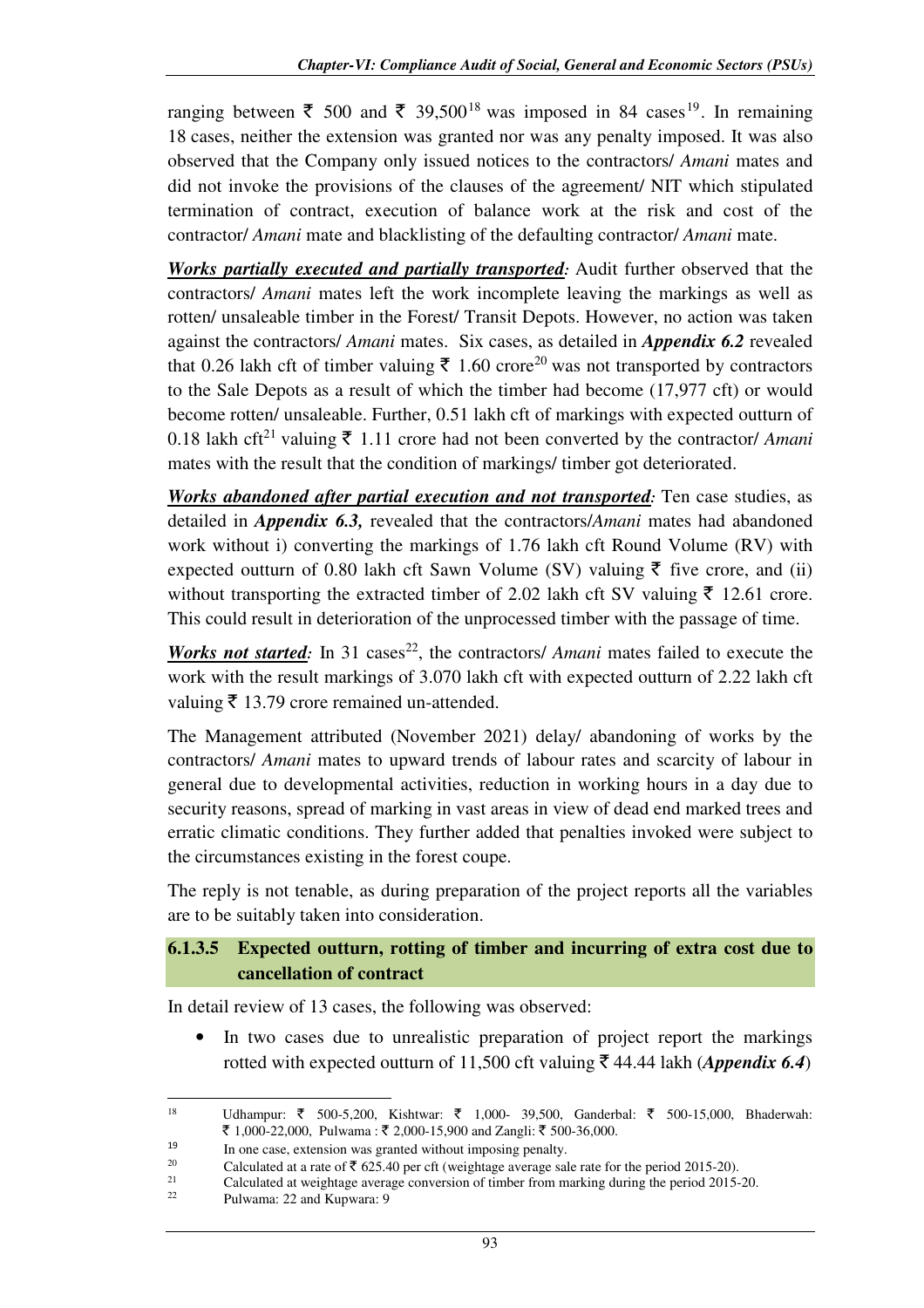ranging between  $\bar{\xi}$  500 and  $\bar{\xi}$  39.500<sup>18</sup> was imposed in 84 cases<sup>19</sup>. In remaining 18 cases, neither the extension was granted nor was any penalty imposed. It was also observed that the Company only issued notices to the contractors/ *Amani* mates and did not invoke the provisions of the clauses of the agreement/ NIT which stipulated termination of contract, execution of balance work at the risk and cost of the contractor/ *Amani* mate and blacklisting of the defaulting contractor/ *Amani* mate.

*Works partially executed and partially transported:* Audit further observed that the contractors/ *Amani* mates left the work incomplete leaving the markings as well as rotten/ unsaleable timber in the Forest/ Transit Depots. However, no action was taken against the contractors/ *Amani* mates. Six cases, as detailed in *Appendix 6.2* revealed that 0.26 lakh cft of timber valuing  $\bar{\tau}$  1.60 crore<sup>20</sup> was not transported by contractors to the Sale Depots as a result of which the timber had become (17,977 cft) or would become rotten/ unsaleable. Further, 0.51 lakh cft of markings with expected outturn of 0.18 lakh cft<sup>21</sup> valuing  $\bar{\tau}$  1.11 crore had not been converted by the contractor/ *Amani* mates with the result that the condition of markings/ timber got deteriorated.

*Works abandoned after partial execution and not transported:* Ten case studies, as detailed in *Appendix 6.3,* revealed that the contractors/*Amani* mates had abandoned work without i) converting the markings of 1.76 lakh cft Round Volume (RV) with expected outturn of 0.80 lakh cft Sawn Volume (SV) valuing  $\bar{\tau}$  five crore, and (ii) without transporting the extracted timber of 2.02 lakh cft SV valuing  $\bar{\tau}$  12.61 crore. This could result in deterioration of the unprocessed timber with the passage of time.

*Works not started*: In 31 cases<sup>22</sup>, the contractors/ *Amani* mates failed to execute the work with the result markings of 3.070 lakh cft with expected outturn of 2.22 lakh cft valuing  $\bar{\tau}$  13.79 crore remained un-attended.

The Management attributed (November 2021) delay/ abandoning of works by the contractors/ *Amani* mates to upward trends of labour rates and scarcity of labour in general due to developmental activities, reduction in working hours in a day due to security reasons, spread of marking in vast areas in view of dead end marked trees and erratic climatic conditions. They further added that penalties invoked were subject to the circumstances existing in the forest coupe.

The reply is not tenable, as during preparation of the project reports all the variables are to be suitably taken into consideration.

# **6.1.3.5 Expected outturn, rotting of timber and incurring of extra cost due to cancellation of contract**

In detail review of 13 cases, the following was observed:

In two cases due to unrealistic preparation of project report the markings rotted with expected outturn of 11,500 cft valuing  $\bar{\tau}$  44.44 lakh (*Appendix 6.4*)

ı 18 Udhampur: ₹ 500-5,200, Kishtwar: ₹ 1,000- 39,500, Ganderbal: ₹ 500-15,000, Bhaderwah: ₹ 1,000-22,000, Pulwama : ₹ 2,000-15,900 and Zangli: ₹ 500-36,000.

<sup>19</sup> <sup>19</sup> In one case, extension was granted without imposing penalty.<br>
<sup>20</sup> Calculated at a rate of  $\bar{\xi}$  625.40 per off (weightage average sal

<sup>&</sup>lt;sup>20</sup> Calculated at a rate of  $\bar{\tau}$  625.40 per cft (weightage average sale rate for the period 2015-20).

<sup>&</sup>lt;sup>21</sup> Calculated at weightage average conversion of timber from marking during the period 2015-20.<br><sup>22</sup> Performance 20 and Kunneen: 0

<sup>22</sup> Pulwama: 22 and Kupwara: 9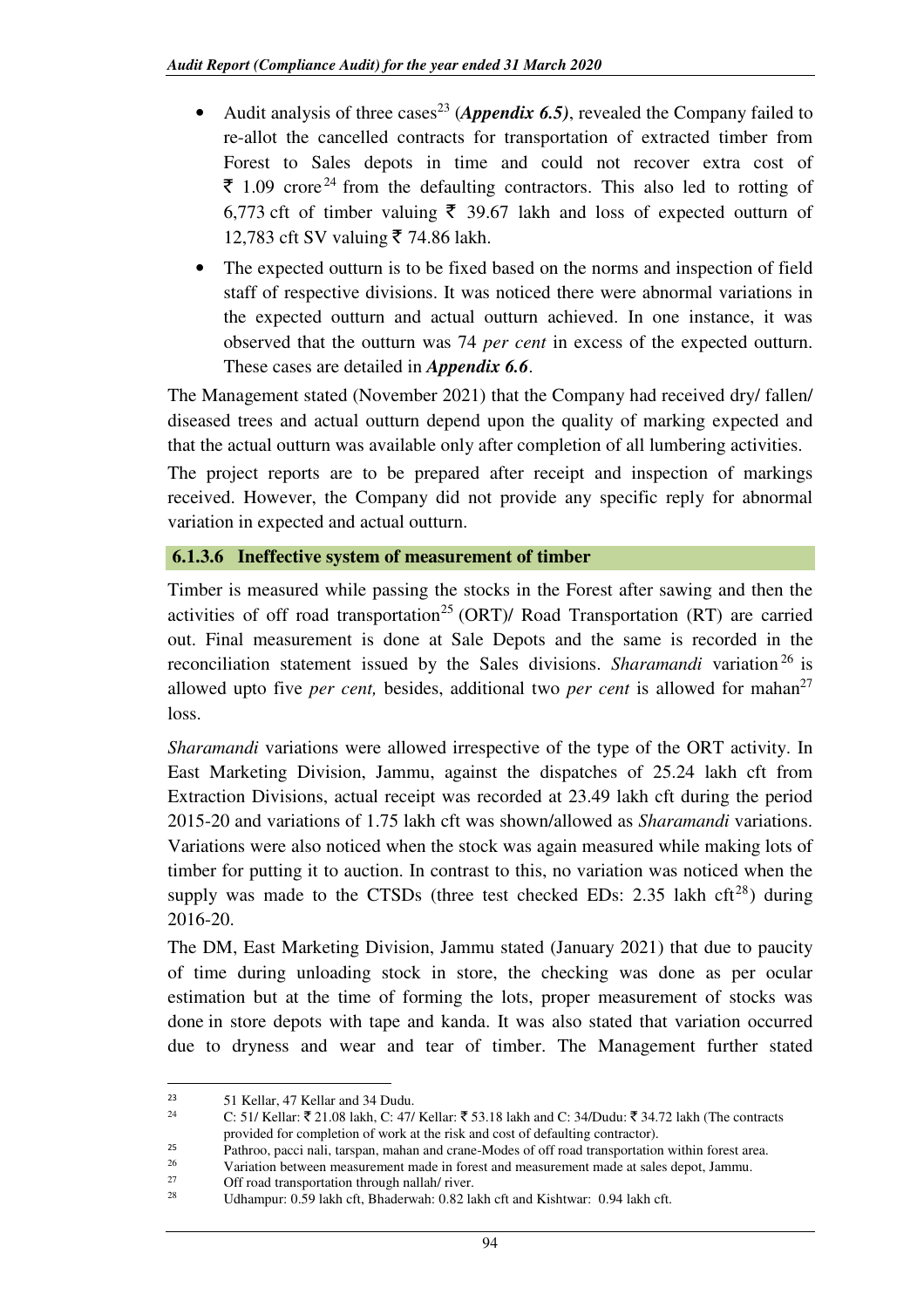- Audit analysis of three cases<sup>23</sup> (*Appendix 6.5*), revealed the Company failed to re-allot the cancelled contracts for transportation of extracted timber from Forest to Sales depots in time and could not recover extra cost of  $\bar{\tau}$  1.09 crore<sup>24</sup> from the defaulting contractors. This also led to rotting of 6,773 cft of timber valuing  $\bar{\xi}$  39.67 lakh and loss of expected outturn of 12,783 cft SV valuing ₹ 74.86 lakh.
- The expected outturn is to be fixed based on the norms and inspection of field staff of respective divisions. It was noticed there were abnormal variations in the expected outturn and actual outturn achieved. In one instance, it was observed that the outturn was 74 *per cent* in excess of the expected outturn. These cases are detailed in *Appendix 6.6*.

The Management stated (November 2021) that the Company had received dry/ fallen/ diseased trees and actual outturn depend upon the quality of marking expected and that the actual outturn was available only after completion of all lumbering activities.

The project reports are to be prepared after receipt and inspection of markings received. However, the Company did not provide any specific reply for abnormal variation in expected and actual outturn.

# **6.1.3.6 Ineffective system of measurement of timber**

Timber is measured while passing the stocks in the Forest after sawing and then the activities of off road transportation<sup>25</sup> (ORT)/ Road Transportation (RT) are carried out. Final measurement is done at Sale Depots and the same is recorded in the reconciliation statement issued by the Sales divisions. *Sharamandi* variation <sup>26</sup> is allowed upto five *per cent*, besides, additional two *per cent* is allowed for mahan<sup>27</sup> loss.

*Sharamandi* variations were allowed irrespective of the type of the ORT activity. In East Marketing Division, Jammu, against the dispatches of 25.24 lakh cft from Extraction Divisions, actual receipt was recorded at 23.49 lakh cft during the period 2015-20 and variations of 1.75 lakh cft was shown/allowed as *Sharamandi* variations. Variations were also noticed when the stock was again measured while making lots of timber for putting it to auction. In contrast to this, no variation was noticed when the supply was made to the CTSDs (three test checked EDs: 2.35 lakh cft<sup>28</sup>) during 2016-20.

The DM, East Marketing Division, Jammu stated (January 2021) that due to paucity of time during unloading stock in store, the checking was done as per ocular estimation but at the time of forming the lots, proper measurement of stocks was done in store depots with tape and kanda. It was also stated that variation occurred due to dryness and wear and tear of timber. The Management further stated

 $\overline{\phantom{0}}$ 

<sup>23 51</sup> Kellar, 47 Kellar and 34 Dudu.

C: 51/ Kellar:  $\bar{\tau}$  21.08 lakh, C: 47/ Kellar:  $\bar{\tau}$  53.18 lakh and C: 34/Dudu:  $\bar{\tau}$  34.72 lakh (The contracts provided for completion of work at the risk and cost of defaulting contractor).

<sup>&</sup>lt;sup>25</sup> Pathroo, pacci nali, tarspan, mahan and crane-Modes of off road transportation within forest area.<br><sup>26</sup> Variation between measurement made in forest and measurement made at sales denot. Iammu

<sup>&</sup>lt;sup>26</sup><br>Variation between measurement made in forest and measurement made at sales depot, Jammu.<br>Cff reed transportation through nellable iver.

<sup>&</sup>lt;sup>27</sup> Off road transportation through nallah/ river.<br>
<sup>28</sup> Udbouwen 0.50 labb of photometr 0.92 la

Udhampur: 0.59 lakh cft, Bhaderwah: 0.82 lakh cft and Kishtwar: 0.94 lakh cft.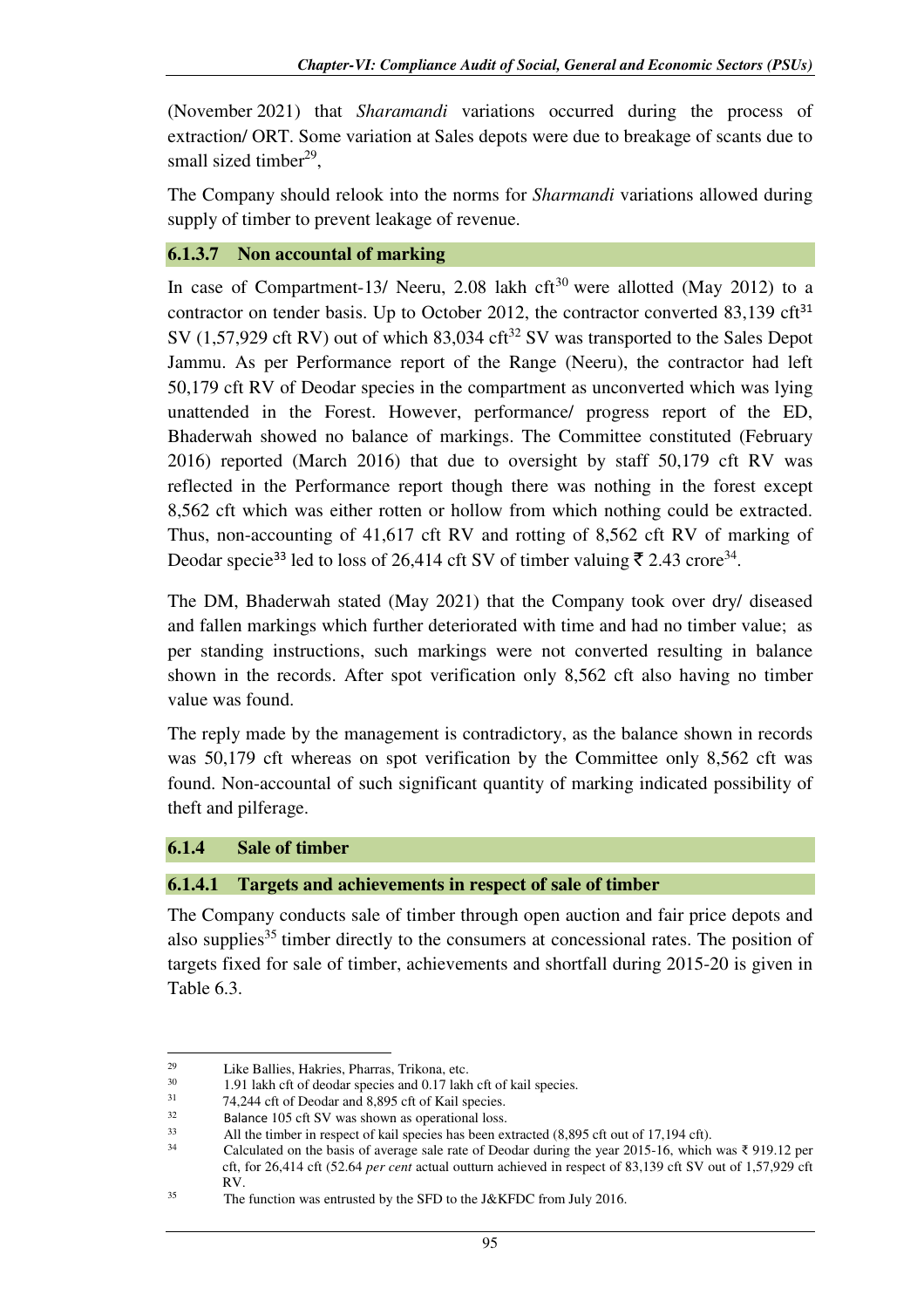(November 2021) that *Sharamandi* variations occurred during the process of extraction/ ORT. Some variation at Sales depots were due to breakage of scants due to small sized timber<sup>29</sup>,

The Company should relook into the norms for *Sharmandi* variations allowed during supply of timber to prevent leakage of revenue.

# **6.1.3.7 Non accountal of marking**

In case of Compartment-13/ Neeru, 2.08 lakh cft<sup>30</sup> were allotted (May 2012) to a contractor on tender basis. Up to October 2012, the contractor converted  $83,139$  cft $^{31}$ SV (1,57,929 cft RV) out of which  $83,034$  cft<sup>32</sup> SV was transported to the Sales Depot Jammu. As per Performance report of the Range (Neeru), the contractor had left 50,179 cft RV of Deodar species in the compartment as unconverted which was lying unattended in the Forest. However, performance/ progress report of the ED, Bhaderwah showed no balance of markings. The Committee constituted (February 2016) reported (March 2016) that due to oversight by staff 50,179 cft RV was reflected in the Performance report though there was nothing in the forest except 8,562 cft which was either rotten or hollow from which nothing could be extracted. Thus, non-accounting of 41,617 cft RV and rotting of 8,562 cft RV of marking of Deodar specie<sup>33</sup> led to loss of 26,414 cft SV of timber valuing ₹ 2.43 crore<sup>34</sup>.

The DM, Bhaderwah stated (May 2021) that the Company took over dry/ diseased and fallen markings which further deteriorated with time and had no timber value; as per standing instructions, such markings were not converted resulting in balance shown in the records. After spot verification only 8,562 cft also having no timber value was found.

The reply made by the management is contradictory, as the balance shown in records was 50,179 cft whereas on spot verification by the Committee only 8,562 cft was found. Non-accountal of such significant quantity of marking indicated possibility of theft and pilferage.

# **6.1.4 Sale of timber**

ı

### **6.1.4.1 Targets and achievements in respect of sale of timber**

The Company conducts sale of timber through open auction and fair price depots and also supplies<sup>35</sup> timber directly to the consumers at concessional rates. The position of targets fixed for sale of timber, achievements and shortfall during 2015-20 is given in Table 6.3.

<sup>&</sup>lt;sup>29</sup> Like Ballies, Hakries, Pharras, Trikona, etc.<br> $\frac{30}{10}$  1.01 labb of the dendar species and 0.17 labb

<sup>1.91</sup> lakh cft of deodar species and 0.17 lakh cft of kail species.

<sup>31</sup> 74,244 cft of Deodar and 8,895 cft of Kail species.

<sup>&</sup>lt;sup>32</sup> Balance 105 cft SV was shown as operational loss.

<sup>33</sup> All the timber in respect of kail species has been extracted (8,895 cft out of 17,194 cft).

<sup>34</sup> Calculated on the basis of average sale rate of Deodar during the year 2015-16, which was ₹ 919.12 per cft, for 26,414 cft (52.64 *per cent* actual outturn achieved in respect of 83,139 cft SV out of 1,57,929 cft RV.

<sup>&</sup>lt;sup>35</sup> The function was entrusted by the SFD to the J&KFDC from July 2016.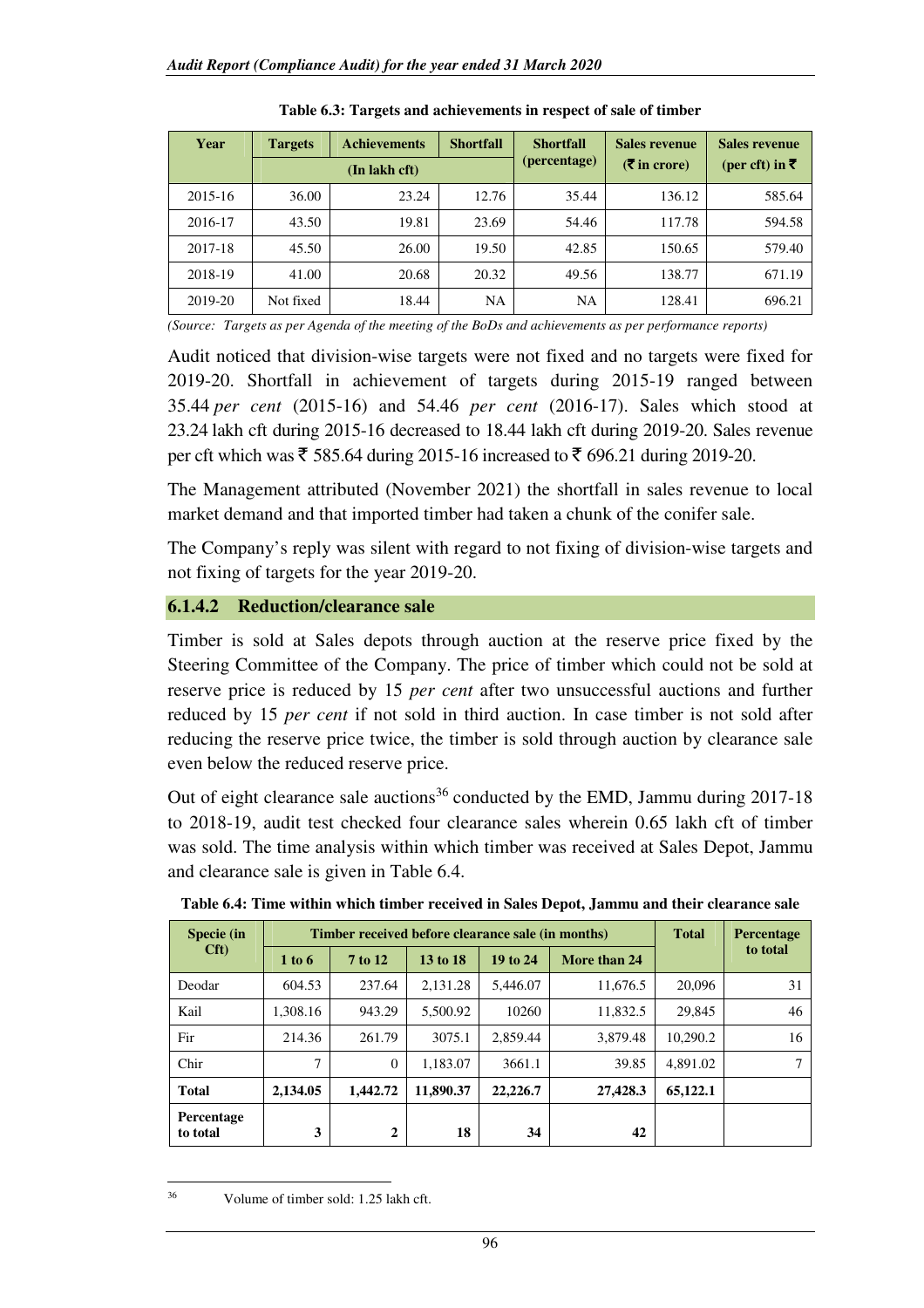| Year    | <b>Targets</b> | <b>Achievements</b> | <b>Shortfall</b> | <b>Shortfall</b> | Sales revenue    | <b>Sales revenue</b><br>(per cft) in ₹ |  |
|---------|----------------|---------------------|------------------|------------------|------------------|----------------------------------------|--|
|         |                | (In lakh cft)       |                  | (percentage)     | $(\xi$ in crore) |                                        |  |
| 2015-16 | 36.00          | 23.24               | 12.76            | 35.44            | 136.12           | 585.64                                 |  |
| 2016-17 | 43.50          | 19.81               | 23.69            | 54.46            | 117.78           | 594.58                                 |  |
| 2017-18 | 45.50          | 26.00               | 19.50            | 42.85            | 150.65           | 579.40                                 |  |
| 2018-19 | 41.00          | 20.68               | 20.32            | 49.56            | 138.77           | 671.19                                 |  |
| 2019-20 | Not fixed      | 18.44               | NA               | <b>NA</b>        | 128.41           | 696.21                                 |  |

|  |  | Table 6.3: Targets and achievements in respect of sale of timber |  |  |
|--|--|------------------------------------------------------------------|--|--|
|--|--|------------------------------------------------------------------|--|--|

*(Source: Targets as per Agenda of the meeting of the BoDs and achievements as per performance reports)*

Audit noticed that division-wise targets were not fixed and no targets were fixed for 2019-20. Shortfall in achievement of targets during 2015-19 ranged between 35.44 *per cent* (2015-16) and 54.46 *per cent* (2016-17). Sales which stood at 23.24 lakh cft during 2015-16 decreased to 18.44 lakh cft during 2019-20. Sales revenue per cft which was ₹ 585.64 during 2015-16 increased to ₹ 696.21 during 2019-20.

The Management attributed (November 2021) the shortfall in sales revenue to local market demand and that imported timber had taken a chunk of the conifer sale.

The Company's reply was silent with regard to not fixing of division-wise targets and not fixing of targets for the year 2019-20.

### **6.1.4.2 Reduction/clearance sale**

Timber is sold at Sales depots through auction at the reserve price fixed by the Steering Committee of the Company. The price of timber which could not be sold at reserve price is reduced by 15 *per cent* after two unsuccessful auctions and further reduced by 15 *per cent* if not sold in third auction. In case timber is not sold after reducing the reserve price twice, the timber is sold through auction by clearance sale even below the reduced reserve price.

Out of eight clearance sale auctions<sup>36</sup> conducted by the EMD, Jammu during  $2017-18$ to 2018-19, audit test checked four clearance sales wherein 0.65 lakh cft of timber was sold. The time analysis within which timber was received at Sales Depot, Jammu and clearance sale is given in Table 6.4.

| Specie (in             |          | Timber received before clearance sale (in months) | <b>Total</b> | <b>Percentage</b> |              |          |          |
|------------------------|----------|---------------------------------------------------|--------------|-------------------|--------------|----------|----------|
| Cft                    | 1 to 6   | 7 to 12                                           | 13 to 18     | 19 to 24          | More than 24 |          | to total |
| Deodar                 | 604.53   | 237.64                                            | 2.131.28     | 5.446.07          | 11.676.5     | 20,096   | 31       |
| Kail                   | 1.308.16 | 943.29                                            | 5,500.92     | 10260             | 11,832.5     | 29,845   | 46       |
| Fir                    | 214.36   | 261.79                                            | 3075.1       | 2,859.44          | 3.879.48     | 10.290.2 | 16       |
| Chir                   | 7        | $\overline{0}$                                    | 1.183.07     | 3661.1            | 39.85        | 4,891.02 |          |
| <b>Total</b>           | 2,134.05 | 1.442.72                                          | 11,890.37    | 22,226.7          | 27,428.3     | 65,122.1 |          |
| Percentage<br>to total | 3        | $\mathbf{2}$                                      | 18           | 34                | 42           |          |          |

**Table 6.4: Time within which timber received in Sales Depot, Jammu and their clearance sale**

 $36$ Volume of timber sold: 1.25 lakh cft.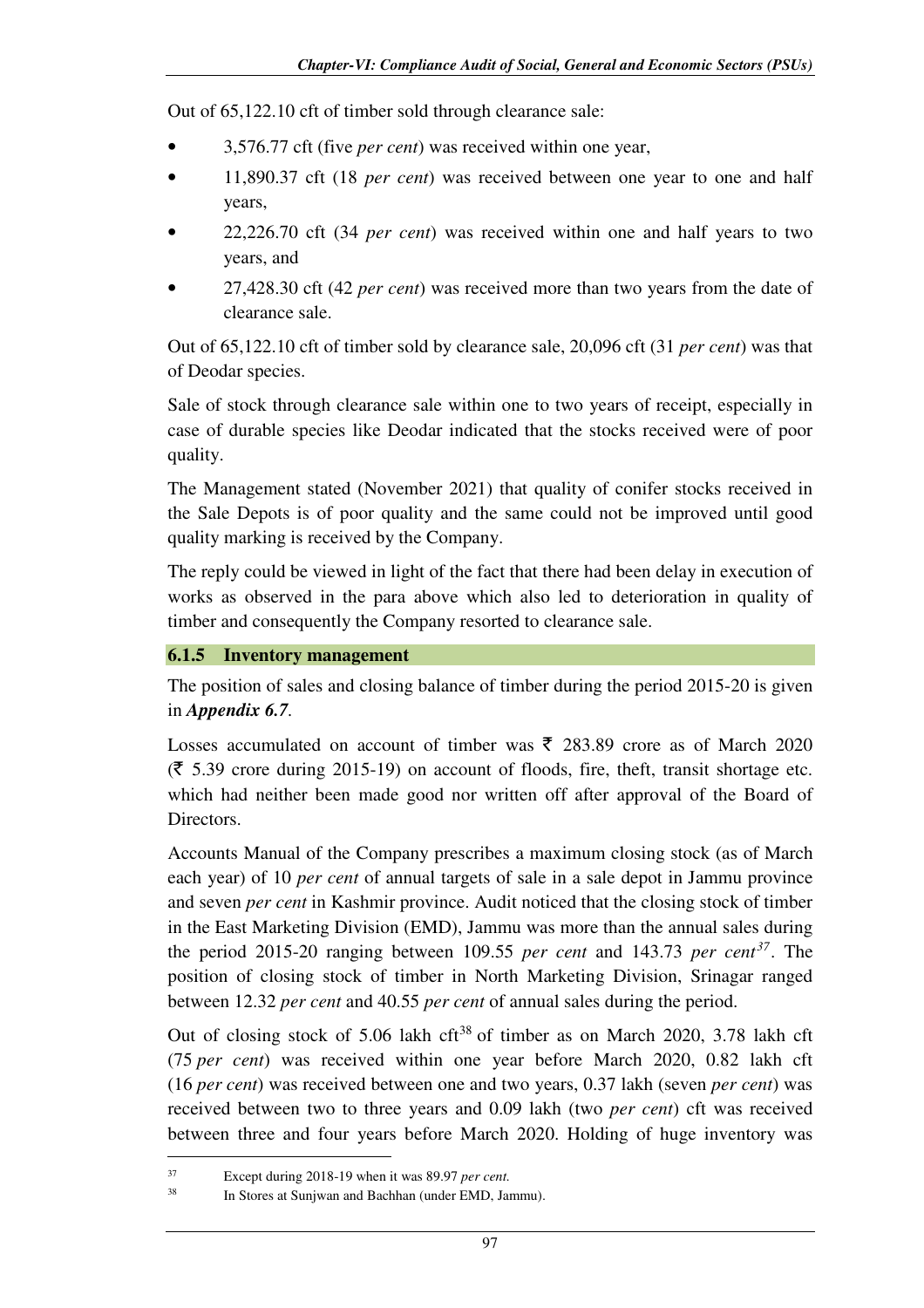Out of 65,122.10 cft of timber sold through clearance sale:

- 3,576.77 cft (five *per cent*) was received within one year,
- 11,890.37 cft (18 *per cent*) was received between one year to one and half years,
- 22,226.70 cft (34 *per cent*) was received within one and half years to two years, and
- 27,428.30 cft (42 *per cent*) was received more than two years from the date of clearance sale.

Out of 65,122.10 cft of timber sold by clearance sale, 20,096 cft (31 *per cent*) was that of Deodar species.

Sale of stock through clearance sale within one to two years of receipt, especially in case of durable species like Deodar indicated that the stocks received were of poor quality.

The Management stated (November 2021) that quality of conifer stocks received in the Sale Depots is of poor quality and the same could not be improved until good quality marking is received by the Company.

The reply could be viewed in light of the fact that there had been delay in execution of works as observed in the para above which also led to deterioration in quality of timber and consequently the Company resorted to clearance sale.

### **6.1.5 Inventory management**

The position of sales and closing balance of timber during the period 2015-20 is given in *Appendix 6.7.*

Losses accumulated on account of timber was  $\bar{\xi}$  283.89 crore as of March 2020  $(\bar{\mathbf{\zeta}})$  5.39 crore during 2015-19) on account of floods, fire, theft, transit shortage etc. which had neither been made good nor written off after approval of the Board of Directors.

Accounts Manual of the Company prescribes a maximum closing stock (as of March each year) of 10 *per cent* of annual targets of sale in a sale depot in Jammu province and seven *per cent* in Kashmir province. Audit noticed that the closing stock of timber in the East Marketing Division (EMD), Jammu was more than the annual sales during the period 2015-20 ranging between 109.55 *per cent* and 143.73 *per cent<sup>37</sup>*. The position of closing stock of timber in North Marketing Division, Srinagar ranged between 12.32 *per cent* and 40.55 *per cent* of annual sales during the period.

Out of closing stock of 5.06 lakh cft<sup>38</sup> of timber as on March 2020, 3.78 lakh cft (75 *per cent*) was received within one year before March 2020, 0.82 lakh cft (16 *per cent*) was received between one and two years, 0.37 lakh (seven *per cent*) was received between two to three years and 0.09 lakh (two *per cent*) cft was received between three and four years before March 2020. Holding of huge inventory was

l

<sup>37</sup> Except during 2018-19 when it was 89.97 *per cent.*

<sup>38</sup> In Stores at Sunjwan and Bachhan (under EMD, Jammu).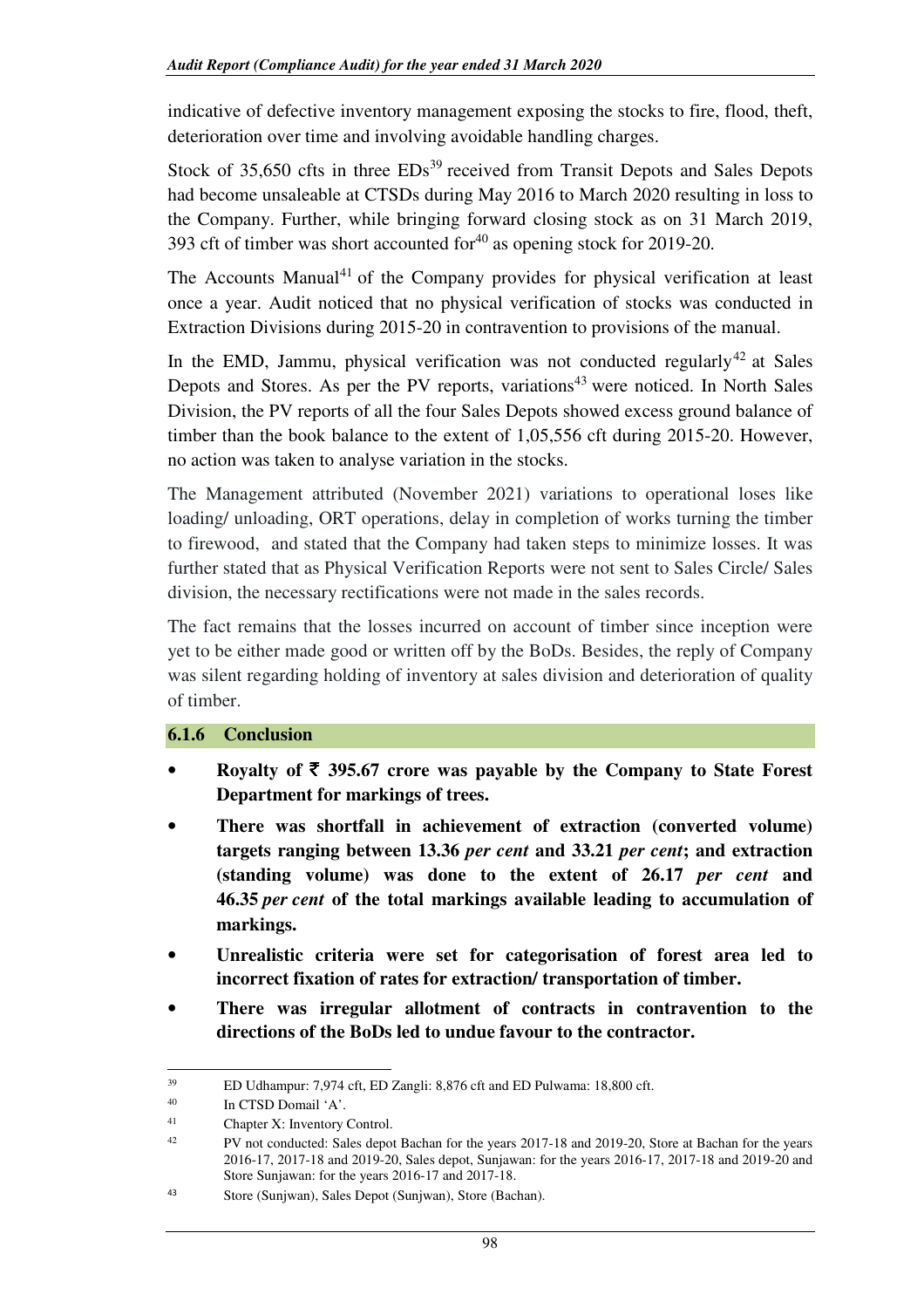indicative of defective inventory management exposing the stocks to fire, flood, theft, deterioration over time and involving avoidable handling charges.

Stock of  $35,650$  cfts in three  $EDs<sup>39</sup>$  received from Transit Depots and Sales Depots had become unsaleable at CTSDs during May 2016 to March 2020 resulting in loss to the Company. Further, while bringing forward closing stock as on 31 March 2019, 393 cft of timber was short accounted for $40$  as opening stock for 2019-20.

The Accounts Manual<sup>41</sup> of the Company provides for physical verification at least once a year. Audit noticed that no physical verification of stocks was conducted in Extraction Divisions during 2015-20 in contravention to provisions of the manual.

In the EMD, Jammu, physical verification was not conducted regularly<sup>42</sup> at Sales Depots and Stores. As per the PV reports, variations<sup>43</sup> were noticed. In North Sales Division, the PV reports of all the four Sales Depots showed excess ground balance of timber than the book balance to the extent of 1,05,556 cft during 2015-20. However, no action was taken to analyse variation in the stocks.

The Management attributed (November 2021) variations to operational loses like loading/ unloading, ORT operations, delay in completion of works turning the timber to firewood, and stated that the Company had taken steps to minimize losses. It was further stated that as Physical Verification Reports were not sent to Sales Circle/ Sales division, the necessary rectifications were not made in the sales records.

The fact remains that the losses incurred on account of timber since inception were yet to be either made good or written off by the BoDs. Besides, the reply of Company was silent regarding holding of inventory at sales division and deterioration of quality of timber.

### **6.1.6 Conclusion**

- **Royalty of** ` **395.67 crore was payable by the Company to State Forest Department for markings of trees.**
- **There was shortfall in achievement of extraction (converted volume) targets ranging between 13.36** *per cent* **and 33.21** *per cent***; and extraction (standing volume) was done to the extent of 26.17** *per cent* **and 46.35** *per cent* **of the total markings available leading to accumulation of markings.**
- **Unrealistic criteria were set for categorisation of forest area led to incorrect fixation of rates for extraction/ transportation of timber.**
- **There was irregular allotment of contracts in contravention to the directions of the BoDs led to undue favour to the contractor.**

 $\overline{\phantom{0}}$ <sup>39</sup> ED Udhampur: 7,974 cft, ED Zangli: 8,876 cft and ED Pulwama: 18,800 cft.

<sup>40</sup> In CTSD Domail 'A'.

<sup>41</sup> Chapter X: Inventory Control.

<sup>&</sup>lt;sup>42</sup> PV not conducted: Sales depot Bachan for the years 2017-18 and 2019-20, Store at Bachan for the years 2016-17, 2017-18 and 2019-20, Sales depot, Sunjawan: for the years 2016-17, 2017-18 and 2019-20 and Store Sunjawan: for the years 2016-17 and 2017-18.

<sup>43</sup> Store (Sunjwan), Sales Depot (Sunjwan), Store (Bachan).